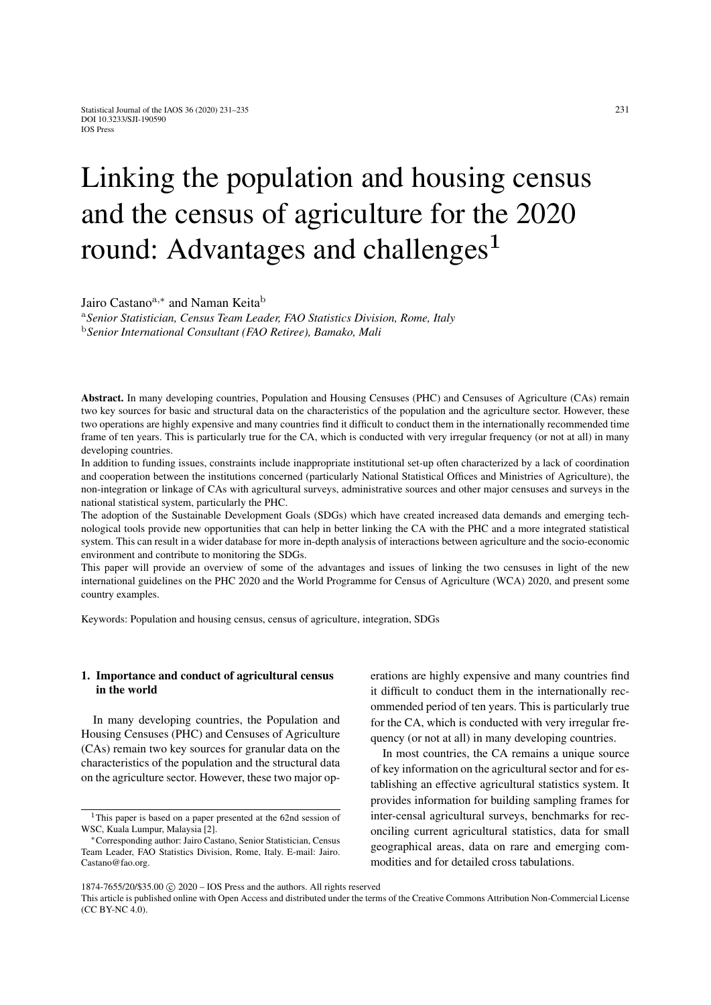# Linking the population and housing census and the census of agriculture for the 2020 round: Advantages and challenges<sup>1</sup>

Jairo Castano<sup>a,∗</sup> and Naman Keita<sup>b</sup>

<sup>a</sup>*Senior Statistician, Census Team Leader, FAO Statistics Division, Rome, Italy* <sup>b</sup>*Senior International Consultant (FAO Retiree), Bamako, Mali*

Abstract. In many developing countries, Population and Housing Censuses (PHC) and Censuses of Agriculture (CAs) remain two key sources for basic and structural data on the characteristics of the population and the agriculture sector. However, these two operations are highly expensive and many countries find it difficult to conduct them in the internationally recommended time frame of ten years. This is particularly true for the CA, which is conducted with very irregular frequency (or not at all) in many developing countries.

In addition to funding issues, constraints include inappropriate institutional set-up often characterized by a lack of coordination and cooperation between the institutions concerned (particularly National Statistical Offices and Ministries of Agriculture), the non-integration or linkage of CAs with agricultural surveys, administrative sources and other major censuses and surveys in the national statistical system, particularly the PHC.

The adoption of the Sustainable Development Goals (SDGs) which have created increased data demands and emerging technological tools provide new opportunities that can help in better linking the CA with the PHC and a more integrated statistical system. This can result in a wider database for more in-depth analysis of interactions between agriculture and the socio-economic environment and contribute to monitoring the SDGs.

This paper will provide an overview of some of the advantages and issues of linking the two censuses in light of the new international guidelines on the PHC 2020 and the World Programme for Census of Agriculture (WCA) 2020, and present some country examples.

Keywords: Population and housing census, census of agriculture, integration, SDGs

## 1. Importance and conduct of agricultural census in the world

In many developing countries, the Population and Housing Censuses (PHC) and Censuses of Agriculture (CAs) remain two key sources for granular data on the characteristics of the population and the structural data on the agriculture sector. However, these two major operations are highly expensive and many countries find it difficult to conduct them in the internationally recommended period of ten years. This is particularly true for the CA, which is conducted with very irregular frequency (or not at all) in many developing countries.

In most countries, the CA remains a unique source of key information on the agricultural sector and for establishing an effective agricultural statistics system. It provides information for building sampling frames for inter-censal agricultural surveys, benchmarks for reconciling current agricultural statistics, data for small geographical areas, data on rare and emerging commodities and for detailed cross tabulations.

<sup>&</sup>lt;sup>1</sup>This paper is based on a paper presented at the 62nd session of WSC, Kuala Lumpur, Malaysia [\[2\]](#page-3-0).

<sup>∗</sup>Corresponding author: Jairo Castano, Senior Statistician, Census Team Leader, FAO Statistics Division, Rome, Italy. E-mail: Jairo. Castano@fao.org.

<sup>1874-7655/20/\$35.00 © 2020 -</sup> IOS Press and the authors. All rights reserved

This article is published online with Open Access and distributed under the terms of the Creative Commons Attribution Non-Commercial License (CC BY-NC 4.0).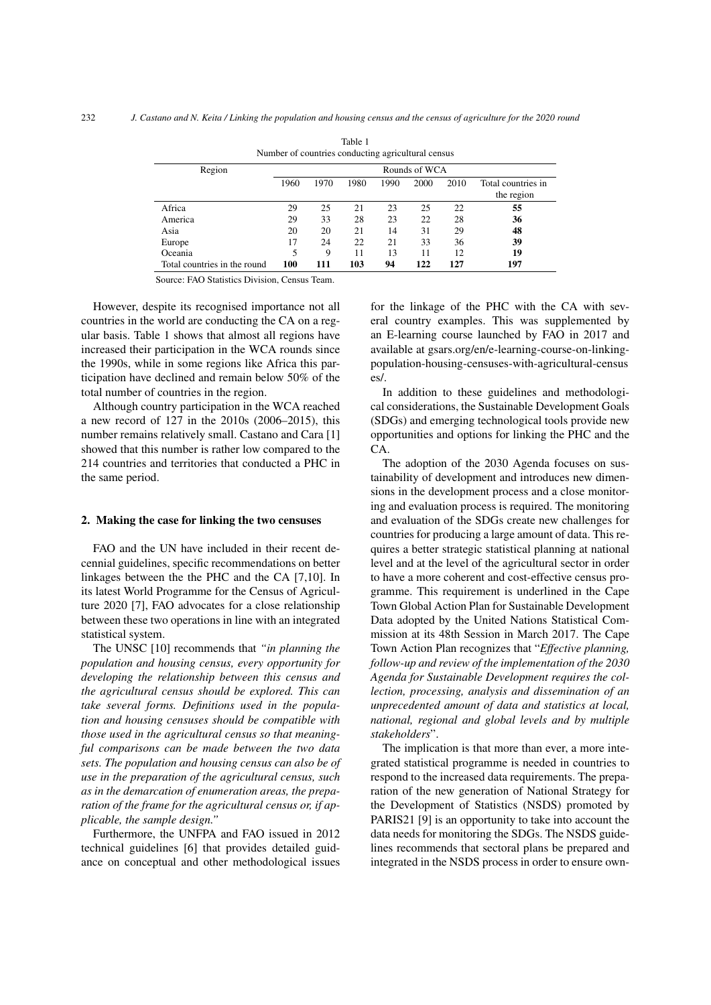<span id="page-1-0"></span>

| Number of countries conducting agricultural census |               |      |      |      |      |      |                    |
|----------------------------------------------------|---------------|------|------|------|------|------|--------------------|
| Region                                             | Rounds of WCA |      |      |      |      |      |                    |
|                                                    | 1960          | 1970 | 1980 | 1990 | 2000 | 2010 | Total countries in |
|                                                    |               |      |      |      |      |      | the region         |
| Africa                                             | 29            | 25   | 21   | 23   | 25   | 22   | 55                 |
| America                                            | 29            | 33   | 28   | 23   | 22   | 28   | 36                 |
| Asia                                               | 20            | 20   | 21   | 14   | 31   | 29   | 48                 |
| Europe                                             | 17            | 24   | 22   | 21   | 33   | 36   | 39                 |
| Oceania                                            | 5             | 9    | 11   | 13   | 11   | 12   | 19                 |
| Total countries in the round                       | 100           | 111  | 103  | 94   | 122  | 127  | 197                |

Table 1 Number of countries conducting agricultural census

Source: FAO Statistics Division, Census Team.

However, despite its recognised importance not all countries in the world are conducting the CA on a regular basis. Table [1](#page-1-0) shows that almost all regions have increased their participation in the WCA rounds since the 1990s, while in some regions like Africa this participation have declined and remain below 50% of the total number of countries in the region.

Although country participation in the WCA reached a new record of 127 in the 2010s (2006–2015), this number remains relatively small. Castano and Cara [\[1\]](#page-3-1) showed that this number is rather low compared to the 214 countries and territories that conducted a PHC in the same period.

#### 2. Making the case for linking the two censuses

FAO and the UN have included in their recent decennial guidelines, specific recommendations on better linkages between the the PHC and the CA [\[7](#page-4-0)[,10\]](#page-4-1). In its latest World Programme for the Census of Agriculture 2020 [\[7\]](#page-4-0), FAO advocates for a close relationship between these two operations in line with an integrated statistical system.

The UNSC [\[10\]](#page-4-1) recommends that *"in planning the population and housing census, every opportunity for developing the relationship between this census and the agricultural census should be explored. This can take several forms. Definitions used in the population and housing censuses should be compatible with those used in the agricultural census so that meaningful comparisons can be made between the two data sets. The population and housing census can also be of use in the preparation of the agricultural census, such as in the demarcation of enumeration areas, the preparation of the frame for the agricultural census or, if applicable, the sample design."*

Furthermore, the UNFPA and FAO issued in 2012 technical guidelines [\[6\]](#page-4-2) that provides detailed guidance on conceptual and other methodological issues for the linkage of the PHC with the CA with several country examples. This was supplemented by an E-learning course launched by FAO in 2017 and available at gsars.org/en/e-learning-course-on-linkingpopulation-housing-censuses-with-agricultural-census es/.

In addition to these guidelines and methodological considerations, the Sustainable Development Goals (SDGs) and emerging technological tools provide new opportunities and options for linking the PHC and the CA.

The adoption of the 2030 Agenda focuses on sustainability of development and introduces new dimensions in the development process and a close monitoring and evaluation process is required. The monitoring and evaluation of the SDGs create new challenges for countries for producing a large amount of data. This requires a better strategic statistical planning at national level and at the level of the agricultural sector in order to have a more coherent and cost-effective census programme. This requirement is underlined in the Cape Town Global Action Plan for Sustainable Development Data adopted by the United Nations Statistical Commission at its 48th Session in March 2017. The Cape Town Action Plan recognizes that "*Effective planning, follow-up and review of the implementation of the 2030 Agenda for Sustainable Development requires the collection, processing, analysis and dissemination of an unprecedented amount of data and statistics at local, national, regional and global levels and by multiple stakeholders*".

The implication is that more than ever, a more integrated statistical programme is needed in countries to respond to the increased data requirements. The preparation of the new generation of National Strategy for the Development of Statistics (NSDS) promoted by PARIS21 [\[9\]](#page-4-3) is an opportunity to take into account the data needs for monitoring the SDGs. The NSDS guidelines recommends that sectoral plans be prepared and integrated in the NSDS process in order to ensure own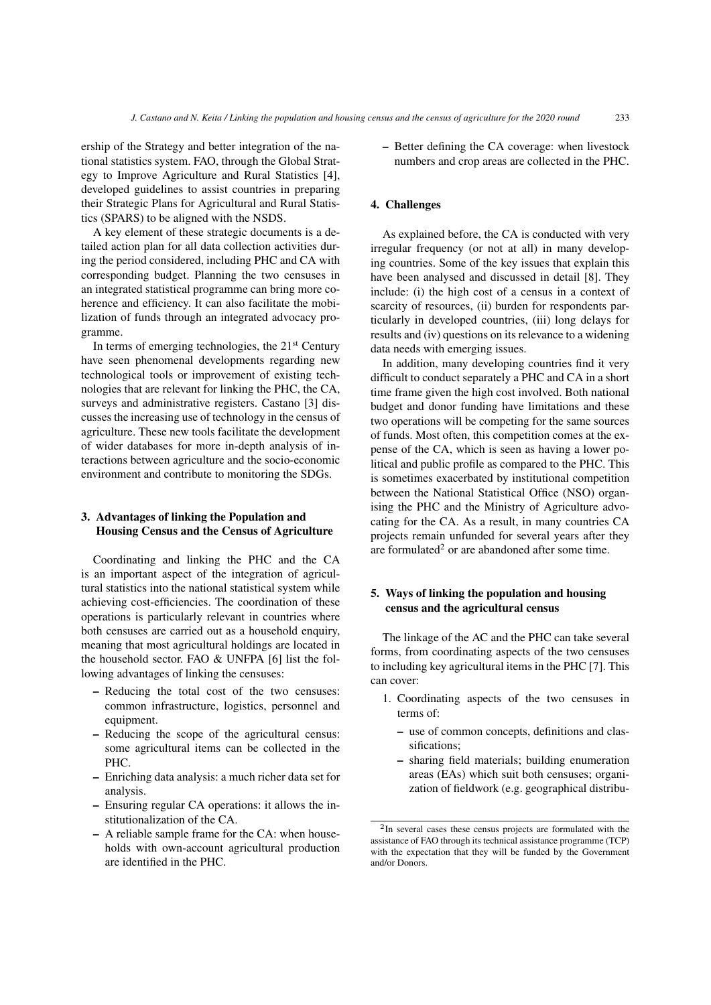ership of the Strategy and better integration of the national statistics system. FAO, through the Global Strategy to Improve Agriculture and Rural Statistics [\[4\]](#page-3-2), developed guidelines to assist countries in preparing their Strategic Plans for Agricultural and Rural Statistics (SPARS) to be aligned with the NSDS.

A key element of these strategic documents is a detailed action plan for all data collection activities during the period considered, including PHC and CA with corresponding budget. Planning the two censuses in an integrated statistical programme can bring more coherence and efficiency. It can also facilitate the mobilization of funds through an integrated advocacy programme.

In terms of emerging technologies, the  $21<sup>st</sup>$  Century have seen phenomenal developments regarding new technological tools or improvement of existing technologies that are relevant for linking the PHC, the CA, surveys and administrative registers. Castano [\[3\]](#page-3-3) discusses the increasing use of technology in the census of agriculture. These new tools facilitate the development of wider databases for more in-depth analysis of interactions between agriculture and the socio-economic environment and contribute to monitoring the SDGs.

## 3. Advantages of linking the Population and Housing Census and the Census of Agriculture

Coordinating and linking the PHC and the CA is an important aspect of the integration of agricultural statistics into the national statistical system while achieving cost-efficiencies. The coordination of these operations is particularly relevant in countries where both censuses are carried out as a household enquiry, meaning that most agricultural holdings are located in the household sector. FAO & UNFPA [\[6\]](#page-4-2) list the following advantages of linking the censuses:

- Reducing the total cost of the two censuses: common infrastructure, logistics, personnel and equipment.
- Reducing the scope of the agricultural census: some agricultural items can be collected in the PHC.
- Enriching data analysis: a much richer data set for analysis.
- Ensuring regular CA operations: it allows the institutionalization of the CA.
- A reliable sample frame for the CA: when households with own-account agricultural production are identified in the PHC.

– Better defining the CA coverage: when livestock numbers and crop areas are collected in the PHC.

## 4. Challenges

As explained before, the CA is conducted with very irregular frequency (or not at all) in many developing countries. Some of the key issues that explain this have been analysed and discussed in detail [\[8\]](#page-4-4). They include: (i) the high cost of a census in a context of scarcity of resources, (ii) burden for respondents particularly in developed countries, (iii) long delays for results and (iv) questions on its relevance to a widening data needs with emerging issues.

In addition, many developing countries find it very difficult to conduct separately a PHC and CA in a short time frame given the high cost involved. Both national budget and donor funding have limitations and these two operations will be competing for the same sources of funds. Most often, this competition comes at the expense of the CA, which is seen as having a lower political and public profile as compared to the PHC. This is sometimes exacerbated by institutional competition between the National Statistical Office (NSO) organising the PHC and the Ministry of Agriculture advocating for the CA. As a result, in many countries CA projects remain unfunded for several years after they are formulated<sup>[2](#page-2-0)</sup> or are abandoned after some time.

## 5. Ways of linking the population and housing census and the agricultural census

The linkage of the AC and the PHC can take several forms, from coordinating aspects of the two censuses to including key agricultural items in the PHC [\[7\]](#page-4-0). This can cover:

- 1. Coordinating aspects of the two censuses in terms of:
	- use of common concepts, definitions and classifications;
	- sharing field materials; building enumeration areas (EAs) which suit both censuses; organization of fieldwork (e.g. geographical distribu-

<span id="page-2-0"></span><sup>2</sup> In several cases these census projects are formulated with the assistance of FAO through its technical assistance programme (TCP) with the expectation that they will be funded by the Government and/or Donors.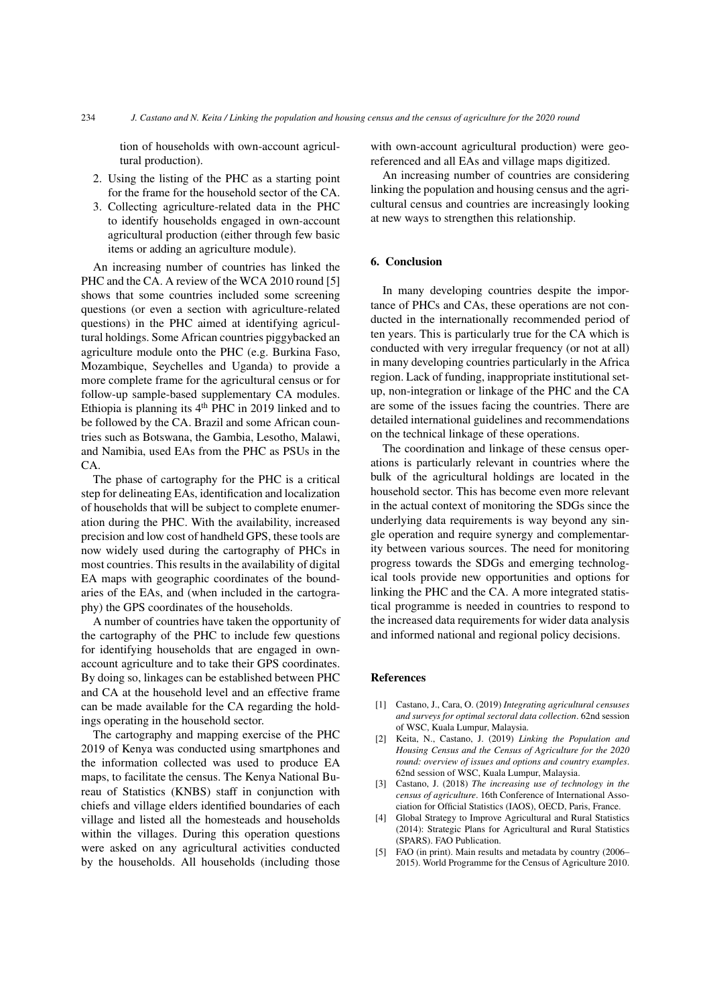tion of households with own-account agricultural production).

- 2. Using the listing of the PHC as a starting point for the frame for the household sector of the CA.
- 3. Collecting agriculture-related data in the PHC to identify households engaged in own-account agricultural production (either through few basic items or adding an agriculture module).

An increasing number of countries has linked the PHC and the CA. A review of the WCA 2010 round [\[5\]](#page-3-4) shows that some countries included some screening questions (or even a section with agriculture-related questions) in the PHC aimed at identifying agricultural holdings. Some African countries piggybacked an agriculture module onto the PHC (e.g. Burkina Faso, Mozambique, Seychelles and Uganda) to provide a more complete frame for the agricultural census or for follow-up sample-based supplementary CA modules. Ethiopia is planning its  $4<sup>th</sup>$  PHC in 2019 linked and to be followed by the CA. Brazil and some African countries such as Botswana, the Gambia, Lesotho, Malawi, and Namibia, used EAs from the PHC as PSUs in the CA.

The phase of cartography for the PHC is a critical step for delineating EAs, identification and localization of households that will be subject to complete enumeration during the PHC. With the availability, increased precision and low cost of handheld GPS, these tools are now widely used during the cartography of PHCs in most countries. This results in the availability of digital EA maps with geographic coordinates of the boundaries of the EAs, and (when included in the cartography) the GPS coordinates of the households.

A number of countries have taken the opportunity of the cartography of the PHC to include few questions for identifying households that are engaged in ownaccount agriculture and to take their GPS coordinates. By doing so, linkages can be established between PHC and CA at the household level and an effective frame can be made available for the CA regarding the holdings operating in the household sector.

The cartography and mapping exercise of the PHC 2019 of Kenya was conducted using smartphones and the information collected was used to produce EA maps, to facilitate the census. The Kenya National Bureau of Statistics (KNBS) staff in conjunction with chiefs and village elders identified boundaries of each village and listed all the homesteads and households within the villages. During this operation questions were asked on any agricultural activities conducted by the households. All households (including those with own-account agricultural production) were georeferenced and all EAs and village maps digitized.

An increasing number of countries are considering linking the population and housing census and the agricultural census and countries are increasingly looking at new ways to strengthen this relationship.

#### 6. Conclusion

In many developing countries despite the importance of PHCs and CAs, these operations are not conducted in the internationally recommended period of ten years. This is particularly true for the CA which is conducted with very irregular frequency (or not at all) in many developing countries particularly in the Africa region. Lack of funding, inappropriate institutional setup, non-integration or linkage of the PHC and the CA are some of the issues facing the countries. There are detailed international guidelines and recommendations on the technical linkage of these operations.

The coordination and linkage of these census operations is particularly relevant in countries where the bulk of the agricultural holdings are located in the household sector. This has become even more relevant in the actual context of monitoring the SDGs since the underlying data requirements is way beyond any single operation and require synergy and complementarity between various sources. The need for monitoring progress towards the SDGs and emerging technological tools provide new opportunities and options for linking the PHC and the CA. A more integrated statistical programme is needed in countries to respond to the increased data requirements for wider data analysis and informed national and regional policy decisions.

#### References

- <span id="page-3-1"></span>[1] Castano, J., Cara, O. (2019) *Integrating agricultural censuses and surveys for optimal sectoral data collection*. 62nd session of WSC, Kuala Lumpur, Malaysia.
- <span id="page-3-0"></span>[2] Keita, N., Castano, J. (2019) *Linking the Population and Housing Census and the Census of Agriculture for the 2020 round: overview of issues and options and country examples*. 62nd session of WSC, Kuala Lumpur, Malaysia.
- <span id="page-3-3"></span>[3] Castano, J. (2018) *The increasing use of technology in the census of agriculture*. 16th Conference of International Association for Official Statistics (IAOS), OECD, Paris, France.
- <span id="page-3-2"></span>[4] Global Strategy to Improve Agricultural and Rural Statistics (2014): Strategic Plans for Agricultural and Rural Statistics (SPARS). FAO Publication.
- <span id="page-3-4"></span>[5] FAO (in print). Main results and metadata by country (2006– 2015). World Programme for the Census of Agriculture 2010.